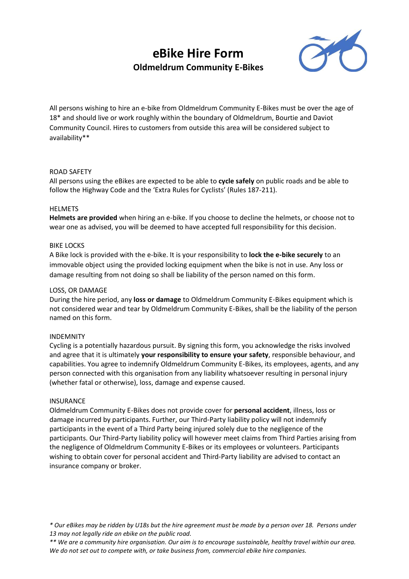# **eBike Hire Form Oldmeldrum Community E-Bikes**



All persons wishing to hire an e-bike from Oldmeldrum Community E-Bikes must be over the age of 18\* and should live or work roughly within the boundary of Oldmeldrum, Bourtie and Daviot Community Council. Hires to customers from outside this area will be considered subject to availability\*\*

### ROAD SAFETY

All persons using the eBikes are expected to be able to **cycle safely** on public roads and be able to follow the Highway Code and the 'Extra Rules for Cyclists' (Rules 187-211).

### HELMETS

**Helmets are provided** when hiring an e-bike. If you choose to decline the helmets, or choose not to wear one as advised, you will be deemed to have accepted full responsibility for this decision.

### BIKE LOCKS

A Bike lock is provided with the e-bike. It is your responsibility to **lock the e-bike securely** to an immovable object using the provided locking equipment when the bike is not in use. Any loss or damage resulting from not doing so shall be liability of the person named on this form.

## LOSS, OR DAMAGE

During the hire period, any **loss or damage** to Oldmeldrum Community E-Bikes equipment which is not considered wear and tear by Oldmeldrum Community E-Bikes, shall be the liability of the person named on this form.

#### INDEMNITY

Cycling is a potentially hazardous pursuit. By signing this form, you acknowledge the risks involved and agree that it is ultimately **your responsibility to ensure your safety**, responsible behaviour, and capabilities. You agree to indemnify Oldmeldrum Community E-Bikes, its employees, agents, and any person connected with this organisation from any liability whatsoever resulting in personal injury (whether fatal or otherwise), loss, damage and expense caused.

#### INSURANCE

Oldmeldrum Community E-Bikes does not provide cover for **personal accident**, illness, loss or damage incurred by participants. Further, our Third-Party liability policy will not indemnify participants in the event of a Third Party being injured solely due to the negligence of the participants. Our Third-Party liability policy will however meet claims from Third Parties arising from the negligence of Oldmeldrum Community E-Bikes or its employees or volunteers. Participants wishing to obtain cover for personal accident and Third-Party liability are advised to contact an insurance company or broker.

*\* Our eBikes may be ridden by U18s but the hire agreement must be made by a person over 18. Persons under 13 may not legally ride an ebike on the public road.*

*<sup>\*\*</sup> We are a community hire organisation. Our aim is to encourage sustainable, healthy travel within our area. We do not set out to compete with, or take business from, commercial ebike hire companies.*